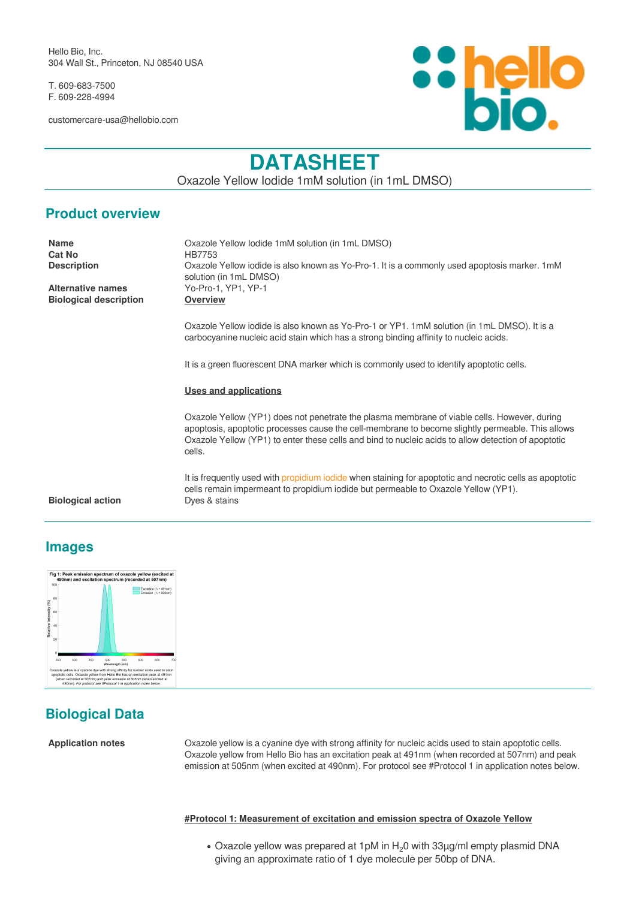Hello Bio, Inc. 304 Wall St., Princeton, NJ 08540 USA

T. 609-683-7500 F. 609-228-4994

customercare-usa@hellobio.com



# **DATASHEET**

Oxazole Yellow Iodide 1mM solution (in 1mL DMSO)

# **Product overview**

| <b>Name</b><br><b>Cat No</b>  | Oxazole Yellow lodide 1mM solution (in 1mL DMSO)<br><b>HB7753</b>                                                                                                                                                                                                                                                 |
|-------------------------------|-------------------------------------------------------------------------------------------------------------------------------------------------------------------------------------------------------------------------------------------------------------------------------------------------------------------|
| <b>Description</b>            | Oxazole Yellow iodide is also known as Yo-Pro-1. It is a commonly used apoptosis marker. 1mM<br>solution (in 1mL DMSO)                                                                                                                                                                                            |
| <b>Alternative names</b>      | Yo-Pro-1, YP1, YP-1                                                                                                                                                                                                                                                                                               |
| <b>Biological description</b> | <b>Overview</b>                                                                                                                                                                                                                                                                                                   |
|                               | Oxazole Yellow iodide is also known as Yo-Pro-1 or YP1. 1mM solution (in 1mL DMSO). It is a<br>carbocyanine nucleic acid stain which has a strong binding affinity to nucleic acids.                                                                                                                              |
|                               | It is a green fluorescent DNA marker which is commonly used to identify apoptotic cells.                                                                                                                                                                                                                          |
|                               | <b>Uses and applications</b>                                                                                                                                                                                                                                                                                      |
|                               | Oxazole Yellow (YP1) does not penetrate the plasma membrane of viable cells. However, during<br>apoptosis, apoptotic processes cause the cell-membrane to become slightly permeable. This allows<br>Oxazole Yellow (YP1) to enter these cells and bind to nucleic acids to allow detection of apoptotic<br>cells. |
|                               | It is frequently used with propidium iodide when staining for apoptotic and necrotic cells as apoptotic                                                                                                                                                                                                           |

cells remain impermeant to propidium iodide but permeable to Oxazole Yellow (YP1).

**Biological action** Dyes & stains

## **Images**



# **Biological Data**

**Application notes** Oxazole yellow is a cyanine dye with strong affinity for nucleic acids used to stain apoptotic cells. Oxazole yellow from Hello Bio has an excitation peak at 491nm (when recorded at 507nm) and peak emission at 505nm (when excited at 490nm). For protocol see #Protocol 1 in application notes below.

#### **#Protocol 1: Measurement of excitation and emission spectra of Oxazole Yellow**

• Oxazole yellow was prepared at 1pM in H<sub>2</sub>0 with 33µg/ml empty plasmid DNA giving an approximate ratio of 1 dye molecule per 50bp of DNA.